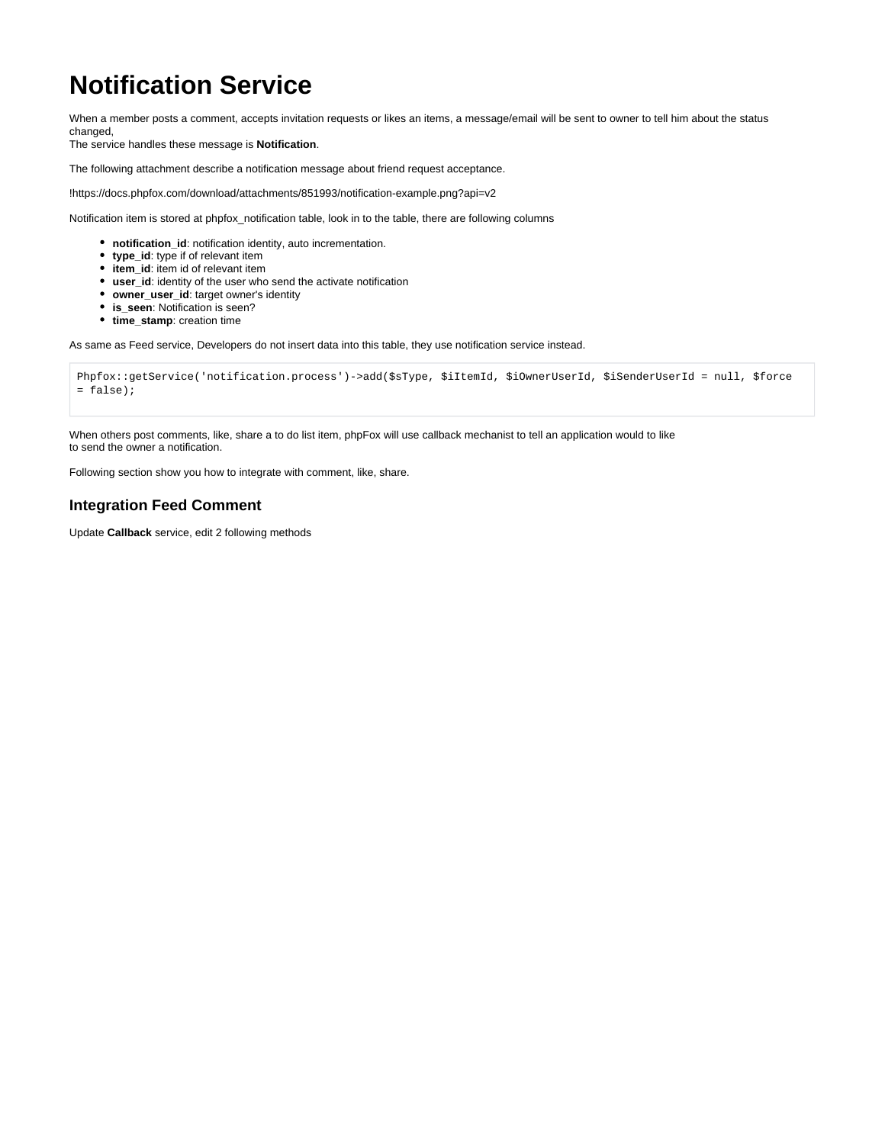## **Notification Service**

When a member posts a comment, accepts invitation requests or likes an items, a message/email will be sent to owner to tell him about the status changed,

The service handles these message is **Notification**.

The following attachment describe a notification message about friend request acceptance.

!https://docs.phpfox.com/download/attachments/851993/notification-example.png?api=v2

Notification item is stored at phpfox\_notification table, look in to the table, there are following columns

- **notification\_id**: notification identity, auto incrementation.
- **type\_id**: type if of relevant item
- **item\_id**: item id of relevant item
- **user\_id**: identity of the user who send the activate notification
- **owner\_user\_id**: target owner's identity
- **is\_seen**: Notification is seen?
- **time stamp**: creation time

As same as Feed service, Developers do not insert data into this table, they use notification service instead.

```
Phpfox::getService('notification.process')->add($sType, $iItemId, $iOwnerUserId, $iSenderUserId = null, $force 
= false);
```
When others post comments, like, share a to do list item, phpFox will use callback mechanist to tell an application would to like to send the owner a notification.

Following section show you how to integrate with comment, like, share.

## **Integration Feed Comment**

Update **Callback** service, edit 2 following methods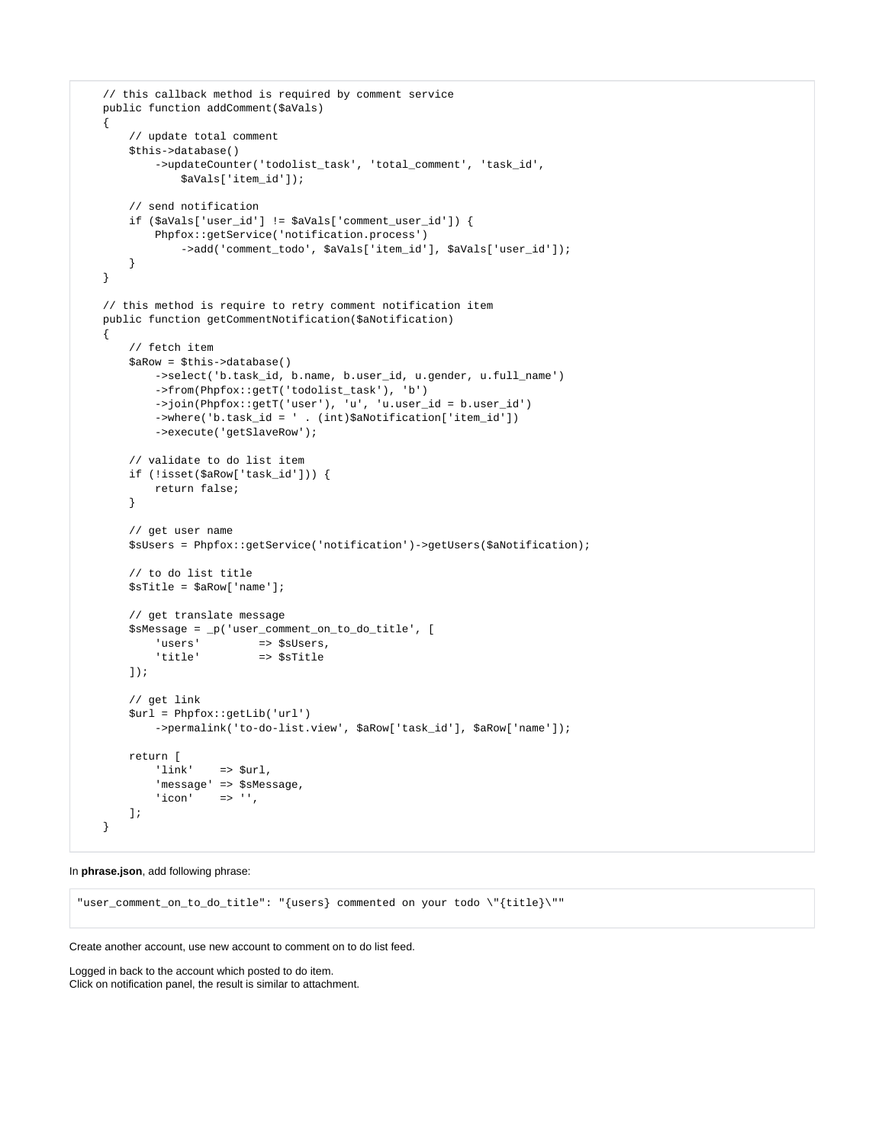```
 // this callback method is required by comment service
 public function addComment($aVals)
 {
     // update total comment
     $this->database()
        ->updateCounter('todolist task', 'total comment', 'task id',
             $aVals['item_id']);
     // send notification
     if ($aVals['user_id'] != $aVals['comment_user_id']) {
         Phpfox::getService('notification.process')
             ->add('comment_todo', $aVals['item_id'], $aVals['user_id']);
     }
 }
 // this method is require to retry comment notification item
 public function getCommentNotification($aNotification)
 {
     // fetch item
     $aRow = $this->database()
         ->select('b.task_id, b.name, b.user_id, u.gender, u.full_name')
         ->from(Phpfox::getT('todolist_task'), 'b')
         ->join(Phpfox::getT('user'), 'u', 'u.user_id = b.user_id')
         ->where('b.task_id = ' . (int)$aNotification['item_id'])
         ->execute('getSlaveRow');
     // validate to do list item
     if (!isset($aRow['task_id'])) {
         return false;
     }
     // get user name
     $sUsers = Phpfox::getService('notification')->getUsers($aNotification);
     // to do list title
     $sTitle = $aRow['name'];
     // get translate message
     $sMessage = _p('user_comment_on_to_do_title', [
        'users' => $sUsers,
         'title' => $sTitle
     ]);
     // get link
     $url = Phpfox::getLib('url')
         ->permalink('to-do-list.view', $aRow['task_id'], $aRow['name']);
     return [
         'link' => $url,
         'message' => $sMessage,
        'icon' => ''. ];
 }
```
In **phrase.json**, add following phrase:

"user\_comment\_on\_to\_do\_title": "{users} commented on your todo \"{title}\""

Create another account, use new account to comment on to do list feed.

Logged in back to the account which posted to do item. Click on notification panel, the result is similar to attachment.